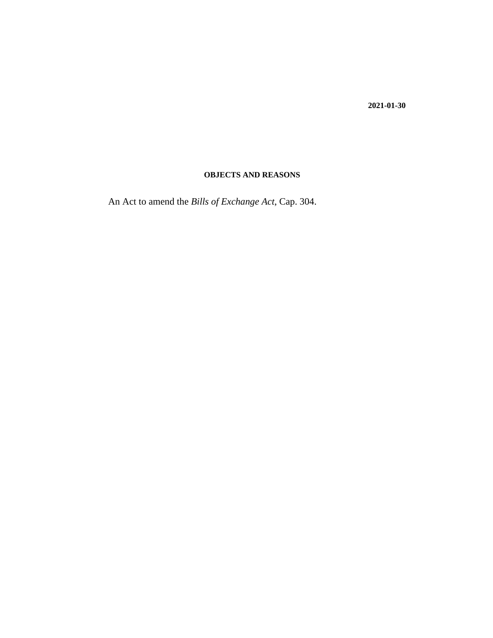**2021-01-30**

### **OBJECTS AND REASONS**

An Act to amend the *[Bills of Exchange Act](http://barbadosparliament-laws.com/en/showdoc/cs/304)*, Cap. 304.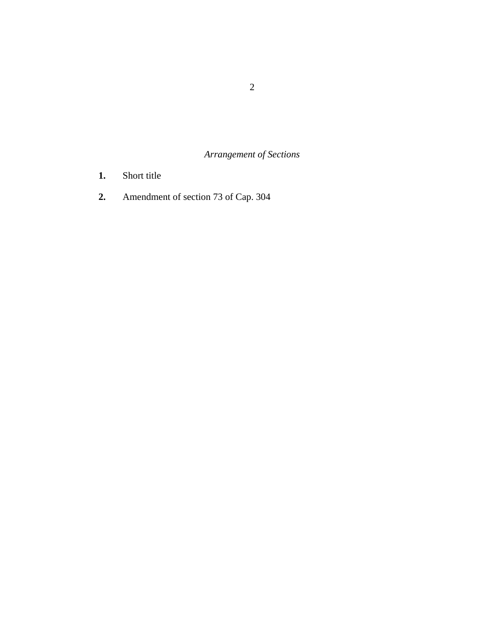*Arrangement of Sections*

- [Short title](#page-2-0) **1.**
- [Amendment of section 73 of Cap. 304](#page-3-0) **2.**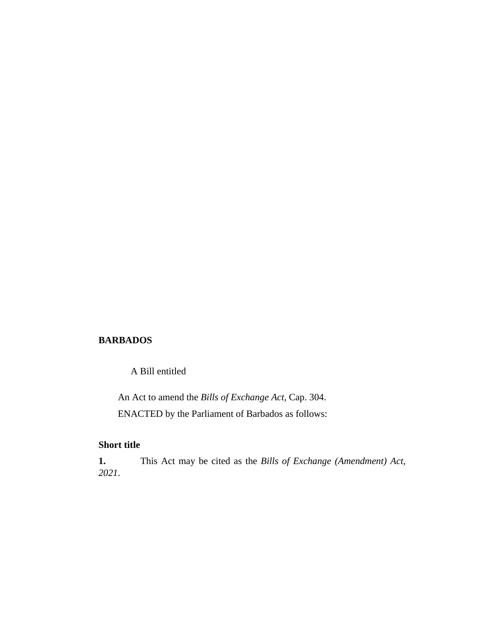#### <span id="page-2-0"></span>**BARBADOS**

A Bill entitled

An Act to amend the *[Bills of Exchange Act](http://barbadosparliament-laws.com/en/showdoc/cs/304)*, Cap. 304. ENACTED by the Parliament of Barbados as follows:

#### **Short title**

This Act may be cited as the *Bills of Exchange (Amendment) Act, 2021*. **1.**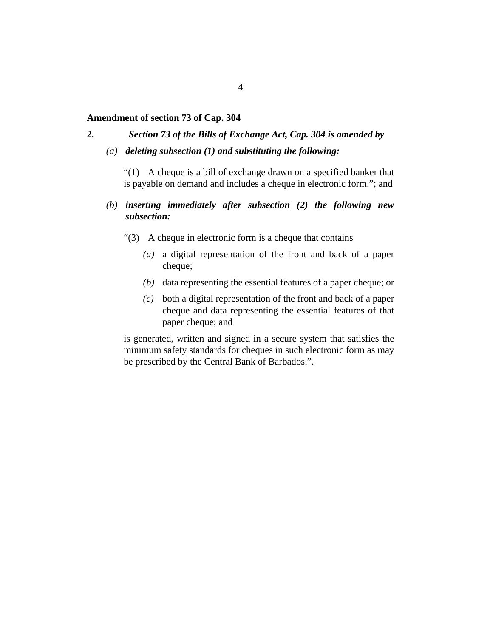#### <span id="page-3-0"></span>**Amendment of section 73 of Cap. 304**

**2.**

## *Section 73 of the Bills of Exchange Act, Cap. 304 is amended by*

*deleting subsection (1) and substituting the following: (a)*

"(1) A cheque is a bill of exchange drawn on a specified banker that is payable on demand and includes a cheque in electronic form."; and

### *inserting immediately after subsection (2) the following new (b) subsection:*

- A cheque in electronic form is a cheque that contains "(3)
	- a digital representation of the front and back of a paper *(a)* cheque;
	- $(b)$  data representing the essential features of a paper cheque; or
	- both a digital representation of the front and back of a paper *(c)* cheque and data representing the essential features of that paper cheque; and

is generated, written and signed in a secure system that satisfies the minimum safety standards for cheques in such electronic form as may be prescribed by the Central Bank of Barbados.".